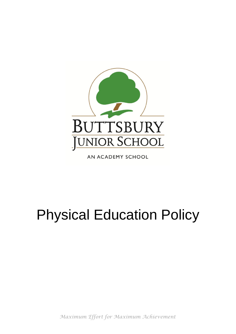

AN ACADEMY SCHOOL

# Physical Education Policy

*Maximum Effort for Maximum Achievement*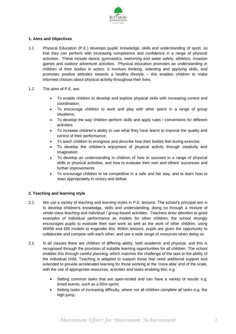

# **1. Aims and Objectives**

- 1.1 Physical Education (P.E.) develops pupils' knowledge, skills and understanding of sport, so that they can perform with increasing competence and confidence in a range of physical activities. These include dance, gymnastics, swimming and water safety, athletics, invasion games and outdoor adventure activities. Physical education promotes an understanding in children of their bodies in action. It involves thinking, selecting and applying skills, and promotes positive attitudes towards a healthy lifestyle – this enables children to make informed choices about physical activity throughout their lives.
- 1.2 The aims of P.E. are:
	- To enable children to develop and explore physical skills with increasing control and coordination;
	- To encourage children to work and play with other peers in a range of group situations;
	- To develop the way children perform skills and apply rules / conventions for different activities;
	- To increase children's ability to use what they have learnt to improve the quality and control of their performance;
	- To teach children to recognise and describe how their bodies feel during exercise;
	- To develop the children's enjoyment of physical activity through creativity and imagination;
	- To develop an understanding in children of how to succeed in a range of physical skills or physical activities, and how to evaluate their own and others' successes and further improvements
	- To encourage children to be competitive in a safe and fair way, and to learn how to react appropriately in victory and defeat.

# **2. Teaching and learning style**

- 2.1. We use a variety of teaching and learning styles in P.E. lessons. The school's principal aim is to develop children's knowledge, skills and understanding, doing so through a mixture of whole-class teaching and individual / group-based activities. Teachers draw attention to good examples of individual performance as models for other children; the school strongly encourages pupils to evaluate their own work as well as the work of other children, using WWW and EBI models to engender this. Within lessons, pupils are given the opportunity to collaborate and compete with each other, and use a wide range of resources when doing so.
- 2.2. In all classes there are children of differing ability, both academic and physical, and this is recognised through the provision of suitable learning opportunities for all children. The school enables this through careful planning, which matches the challenge of the task to the ability of the individual child. Teaching is adapted to support those that need additional support and extended to provide accelerated learning for those working at the 'more able' end of the scale, with the use of appropriate resources, activities and tasks enabling this; e.g.
	- Setting common tasks that are open-ended and can have a variety of results e.g. timed events, such as a 60m sprint;
	- Setting tasks of increasing difficulty, where not all children complete all tasks e.g. the high jump;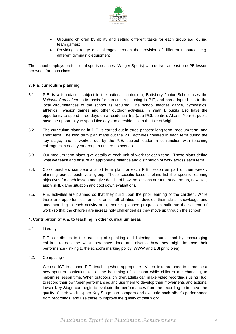

- Grouping children by ability and setting different tasks for each group e.g. during team games;
- Providing a range of challenges through the provision of different resources e.g. different gymnastic equipment

The school employs professional sports coaches (Winger Sports) who deliver at least one PE lesson per week for each class.

# **3. P.E. curriculum planning**

- 3.1. P.E. is a foundation subject in the national curriculum; Buttsbury Junior School uses the *National Curriculum* as its basis for curriculum planning in P.E, and has adapted this to the local circumstances of the school as required. The school teaches dance, gymnastics, athletics, invasion games and other outdoor activities. In Year 4, pupils also have the opportunity to spend three days on a residential trip (at a PGL centre). Also in Year 6, pupils have the opportunity to spend five days on a residential to the Isle of Wight.
- 3.2. The curriculum planning in P.E. is carried out in three phases: long term, medium term, and short term. The long term plan maps out the P.E. activities covered in each term during the key stage, and is worked out by the P.E. subject leader in conjunction with teaching colleagues in each year group to ensure no overlap.
- 3.3. Our medium term plans give details of each unit of work for each term. These plans define what we teach and ensure an appropriate balance and distribution of work across each term. .
- 3.4. Class teachers complete a short term plan for each P.E. lesson as part of their weekly planning across each year group. These specific lessons plans list the specific learning objectives for each lesson and give details of how the lessons are taught (warm up, new skill, apply skill, game situation and cool down/evaluation).
- 3.5. P.E. activities are planned so that they build upon the prior learning of the children. While there are opportunities for children of all abilities to develop their skills, knowledge and understanding in each activity area, there is planned progression built into the scheme of work (so that the children are increasingly challenged as they move up through the school).

## **4. Contribution of P.E. to teaching in other curriculum areas**

4.1. Literacy -

P.E. contributes to the teaching of speaking and listening in our school by encouraging children to describe what they have done and discuss how they might improve their performance (linking to the school's marking policy, WWW and EBI principles)

4.2. Computing -

We use ICT to support P.E. teaching when appropriate. Video links are used to introduce a new sport or particular skill at the beginning of a lesson while children are changing, to maximise lesson time. When outdoors, children/adults can make video recordings using Hudl to record their own/peer performances and use them to develop their movements and actions. Lower Key Stage can begin to evaluate the performances from the recording to improve the quality of their work. Upper Key Stage can compare and evaluate each other's performance from recordings, and use these to improve the quality of their work.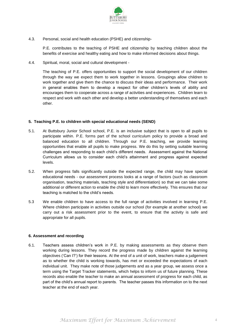

4.3. Personal, social and health education (PSHE) and citizenship-

P.E. contributes to the teaching of PSHE and citizenship by teaching children about the benefits of exercise and healthy eating and how to make informed decisions about things.

4.4. Spiritual, moral, social and cultural development -

The teaching of P.E. offers opportunities to support the social development of our children through the way we expect them to work together in lessons. Groupings allow children to work together and give them the chance to discuss their ideas and performance. Their work in general enables them to develop a respect for other children's levels of ability and encourages them to cooperate across a range of activities and experiences. Children learn to respect and work with each other and develop a better understanding of themselves and each other.

# **5. Teaching P.E. to children with special educational needs (SEND)**

- 5.1. At Buttsbury Junior School school, P.E. is an inclusive subject that is open to all pupils to participate within. P.E. forms part of the school curriculum policy to provide a broad and balanced education to all children. Through our P.E. teaching, we provide learning opportunities that enable all pupils to make progress. We do this by setting suitable learning challenges and responding to each child's different needs. Assessment against the National Curriculum allows us to consider each child's attainment and progress against expected levels.
- 5.2. When progress falls significantly outside the expected range, the child may have special educational needs - our assessment process looks at a range of factors (such as classroom organisation, teaching materials, teaching style and differentiation) so that we can take some additional or different action to enable the child to learn more effectively. This ensures that our teaching is matched to the child's needs.
- 5.3 We enable children to have access to the full range of activities involved in learning P.E. Where children participate in activities outside our school (for example at another school) we carry out a risk assessment prior to the event, to ensure that the activity is safe and appropriate for all pupils.

# **6. Assessment and recording**

6.1. Teachers assess children's work in P.E. by making assessments as they observe them working during lessons. They record the progress made by children against the learning objectives ('Can I?') for their lessons. At the end of a unit of work, teachers make a judgement as to whether the child is working towards, has met or exceeded the expectations of each individual unit. They make note of those judgements and as a year group, we assess once a term using the Target Tracker statements, which helps to inform us of future planning. These records also enable the teacher to make an annual assessment of progress for each child, as part of the child's annual report to parents. The teacher passes this information on to the next teacher at the end of each year.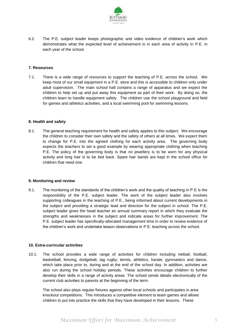

6.2. The P.E. subject leader keeps photographic and video evidence of children's work which demonstrates what the expected level of achievement is in each area of activity in P.E. in each year of the school.

## **7. Resources**

7.1. There is a wide range of resources to support the teaching of P.E. across the school. We keep most of our small equipment in a P.E. store and this is accessible to children only under adult supervision. The main school hall contains a range of apparatus and we expect the children to help set up and put away this equipment as part of their work. By doing so, the children learn to handle equipment safely. The children use the school playground and field for games and athletics activities, and a local swimming pool for swimming lessons.

## **8. Health and safety**

8.1. The general teaching requirement for health and safety applies to this subject. We encourage the children to consider their own safety and the safety of others at all times. We expect them to change for P.E. into the agreed clothing for each activity area. The governing body expects the teachers to set a good example by wearing appropriate clothing when teaching P.E. The policy of the governing body is that *no* jewellery is to be worn for any physical activity and long hair is to be tied back. Spare hair bands are kept in the school office for children that need one.

## **9. Monitoring and review**

9.1. The monitoring of the standards of the children's work and the quality of teaching in P.E is the responsibility of the P.E. subject leader. The work of the subject leader also involves supporting colleagues in the teaching of P.E., being informed about current developments in the subject and providing a strategic lead and direction for the subject in school. The P.E. subject leader gives the head teacher an annual summary report in which they evaluate the strengths and weaknesses in the subject and indicate areas for further improvement. The P.E. subject leader has specifically-allocated management time in order to review evidence of the children's work and undertake lesson observations in P.E. teaching across the school.

## **10. Extra-curricular activities**

10.1. The school provides a wide range of activities for children including netball, football, basketball, fencing, dodgeball, tag rugby, tennis, athletics, karate, gymnastics and dance, which take place prior to, during and at the end of the school day. In addition, activities are also run during the school holiday periods. These activities encourage children to further develop their skills in a range of activity areas. The school sends details electronically of the current club activities to parents at the beginning of the term.

The school also plays regular fixtures against other local schools and participates in area knockout competitions. This introduces a competitive element to team games and allows children to put into practice the skills that they have developed in their lessons. These